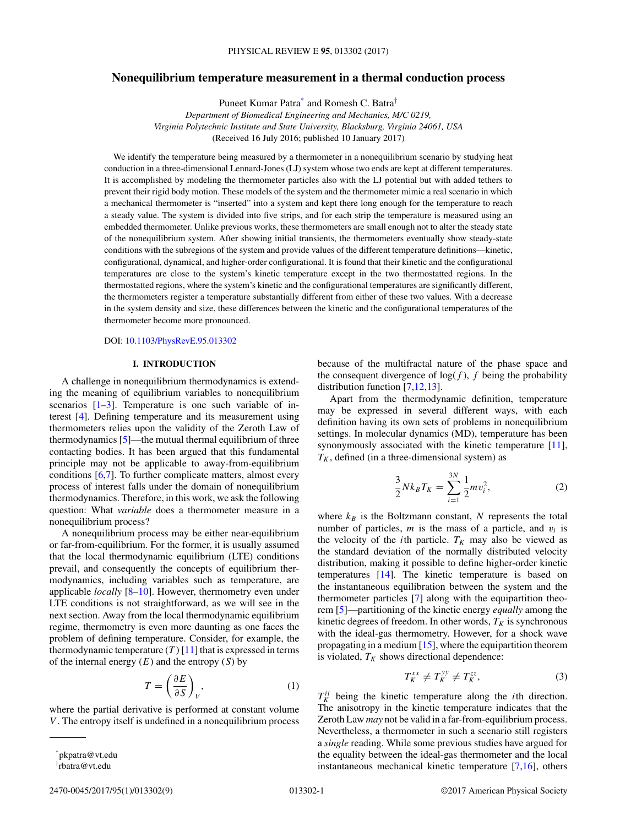# **Nonequilibrium temperature measurement in a thermal conduction process**

Puneet Kumar Patra\* and Romesh C. Batra†

*Department of Biomedical Engineering and Mechanics, M/C 0219, Virginia Polytechnic Institute and State University, Blacksburg, Virginia 24061, USA* (Received 16 July 2016; published 10 January 2017)

We identify the temperature being measured by a thermometer in a nonequilibrium scenario by studying heat conduction in a three-dimensional Lennard-Jones (LJ) system whose two ends are kept at different temperatures. It is accomplished by modeling the thermometer particles also with the LJ potential but with added tethers to prevent their rigid body motion. These models of the system and the thermometer mimic a real scenario in which a mechanical thermometer is "inserted" into a system and kept there long enough for the temperature to reach a steady value. The system is divided into five strips, and for each strip the temperature is measured using an embedded thermometer. Unlike previous works, these thermometers are small enough not to alter the steady state of the nonequilibrium system. After showing initial transients, the thermometers eventually show steady-state conditions with the subregions of the system and provide values of the different temperature definitions—kinetic, configurational, dynamical, and higher-order configurational. It is found that their kinetic and the configurational temperatures are close to the system's kinetic temperature except in the two thermostatted regions. In the thermostatted regions, where the system's kinetic and the configurational temperatures are significantly different, the thermometers register a temperature substantially different from either of these two values. With a decrease in the system density and size, these differences between the kinetic and the configurational temperatures of the thermometer become more pronounced.

DOI: 10.1103/PhysRevE.95.013302

# **I. INTRODUCTION**

A challenge in nonequilibrium thermodynamics is extending the meaning of equilibrium variables to nonequilibrium scenarios  $[1-3]$ . Temperature is one such variable of interest [4]. Defining temperature and its measurement using thermometers relies upon the validity of the Zeroth Law of thermodynamics [5]—the mutual thermal equilibrium of three contacting bodies. It has been argued that this fundamental principle may not be applicable to away-from-equilibrium conditions [6,7]. To further complicate matters, almost every process of interest falls under the domain of nonequilibrium thermodynamics. Therefore, in this work, we ask the following question: What *variable* does a thermometer measure in a nonequilibrium process?

A nonequilibrium process may be either near-equilibrium or far-from-equilibrium. For the former, it is usually assumed that the local thermodynamic equilibrium (LTE) conditions prevail, and consequently the concepts of equilibrium thermodynamics, including variables such as temperature, are applicable *locally* [8–10]. However, thermometry even under LTE conditions is not straightforward, as we will see in the next section. Away from the local thermodynamic equilibrium regime, thermometry is even more daunting as one faces the problem of defining temperature. Consider, for example, the thermodynamic temperature  $(T)$  [11] that is expressed in terms of the internal energy  $(E)$  and the entropy  $(S)$  by

$$
T = \left(\frac{\partial E}{\partial S}\right)_V, \tag{1}
$$

where the partial derivative is performed at constant volume *V* . The entropy itself is undefined in a nonequilibrium process

because of the multifractal nature of the phase space and the consequent divergence of  $log(f)$ ,  $f$  being the probability distribution function [7,12,13].

Apart from the thermodynamic definition, temperature may be expressed in several different ways, with each definition having its own sets of problems in nonequilibrium settings. In molecular dynamics (MD), temperature has been synonymously associated with the kinetic temperature [11],  $T_K$ , defined (in a three-dimensional system) as

$$
\frac{3}{2} N k_B T_K = \sum_{i=1}^{3N} \frac{1}{2} m v_i^2,
$$
 (2)

where  $k_B$  is the Boltzmann constant, N represents the total number of particles,  $m$  is the mass of a particle, and  $v_i$  is the velocity of the *i*th particle.  $T_K$  may also be viewed as the standard deviation of the normally distributed velocity distribution, making it possible to define higher-order kinetic temperatures [14]. The kinetic temperature is based on the instantaneous equilibration between the system and the thermometer particles [7] along with the equipartition theorem [5]—partitioning of the kinetic energy *equally* among the kinetic degrees of freedom. In other words,  $T_K$  is synchronous with the ideal-gas thermometry. However, for a shock wave propagating in a medium  $[15]$ , where the equipartition theorem is violated,  $T_K$  shows directional dependence:

$$
T_K^{xx} \neq T_K^{yy} \neq T_K^{zz},\tag{3}
$$

 $T_K^{ii}$  being the kinetic temperature along the *i*th direction. The anisotropy in the kinetic temperature indicates that the Zeroth Law *may* not be valid in a far-from-equilibrium process. Nevertheless, a thermometer in such a scenario still registers a *single* reading. While some previous studies have argued for the equality between the ideal-gas thermometer and the local instantaneous mechanical kinetic temperature [7,16], others

<sup>\*</sup>pkpatra@vt.edu

<sup>†</sup> rbatra@vt.edu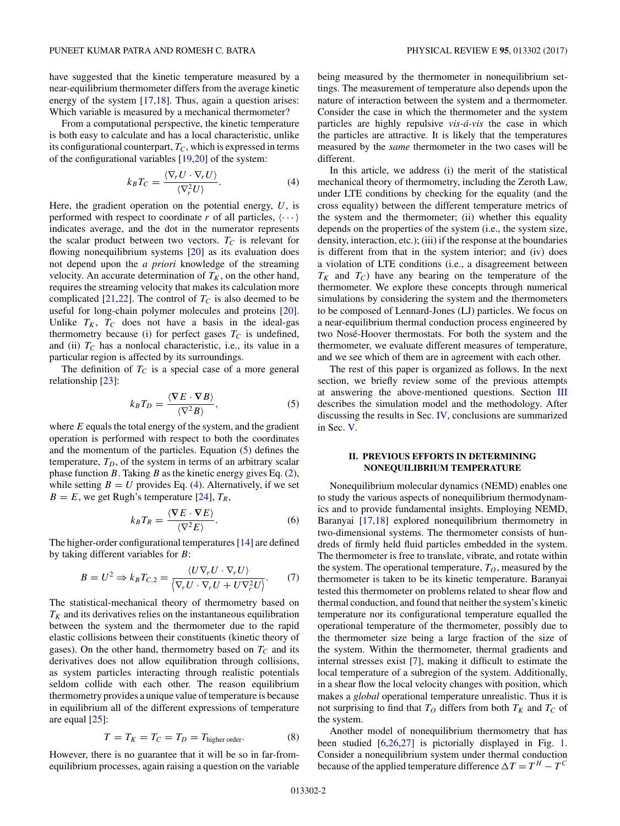have suggested that the kinetic temperature measured by a near-equilibrium thermometer differs from the average kinetic energy of the system [17,18]. Thus, again a question arises: Which variable is measured by a mechanical thermometer?

From a computational perspective, the kinetic temperature is both easy to calculate and has a local characteristic, unlike its configurational counterpart,  $T_c$ , which is expressed in terms of the configurational variables [19,20] of the system:

$$
k_B T_C = \frac{\langle \nabla_r U \cdot \nabla_r U \rangle}{\langle \nabla_r^2 U \rangle}.
$$
 (4)

Here, the gradient operation on the potential energy, *U*, is performed with respect to coordinate r of all particles,  $\langle \cdots \rangle$ indicates average, and the dot in the numerator represents the scalar product between two vectors.  $T_C$  is relevant for flowing nonequilibrium systems [20] as its evaluation does not depend upon the *a priori* knowledge of the streaming velocity. An accurate determination of  $T_K$ , on the other hand, requires the streaming velocity that makes its calculation more complicated  $[21,22]$ . The control of  $T_c$  is also deemed to be useful for long-chain polymer molecules and proteins [20]. Unlike  $T_K$ ,  $T_C$  does not have a basis in the ideal-gas thermometry because (i) for perfect gases  $T_C$  is undefined, and (ii)  $T_c$  has a nonlocal characteristic, i.e., its value in a particular region is affected by its surroundings.

The definition of  $T_c$  is a special case of a more general relationship [23]:

$$
k_B T_D = \frac{\langle \nabla E \cdot \nabla B \rangle}{\langle \nabla^2 B \rangle},\tag{5}
$$

where *E* equals the total energy of the system, and the gradient operation is performed with respect to both the coordinates and the momentum of the particles. Equation (5) defines the temperature,  $T_D$ , of the system in terms of an arbitrary scalar phase function *B*. Taking *B* as the kinetic energy gives Eq. (2), while setting  $B = U$  provides Eq. (4). Alternatively, if we set  $B = E$ , we get Rugh's temperature [24],  $T_R$ ,

$$
k_B T_R = \frac{\langle \nabla E \cdot \nabla E \rangle}{\langle \nabla^2 E \rangle}.
$$
 (6)

The higher-order configurational temperatures [14] are defined by taking different variables for *B*:

$$
B = U^2 \Rightarrow k_B T_{C,2} = \frac{\langle U \nabla_r U \cdot \nabla_r U \rangle}{\langle \nabla_r U \cdot \nabla_r U + U \nabla_r^2 U \rangle}.
$$
 (7)

The statistical-mechanical theory of thermometry based on  $T_K$  and its derivatives relies on the instantaneous equilibration between the system and the thermometer due to the rapid elastic collisions between their constituents (kinetic theory of gases). On the other hand, thermometry based on  $T_c$  and its derivatives does not allow equilibration through collisions, as system particles interacting through realistic potentials seldom collide with each other. The reason equilibrium thermometry provides a unique value of temperature is because in equilibrium all of the different expressions of temperature are equal [25]:

$$
T = T_K = T_C = T_D = T_{\text{higher order}}.\tag{8}
$$

However, there is no guarantee that it will be so in far-fromequilibrium processes, again raising a question on the variable being measured by the thermometer in nonequilibrium settings. The measurement of temperature also depends upon the nature of interaction between the system and a thermometer. Consider the case in which the thermometer and the system particles are highly repulsive *vis-á-vis* the case in which the particles are attractive. It is likely that the temperatures measured by the *same* thermometer in the two cases will be different.

In this article, we address (i) the merit of the statistical mechanical theory of thermometry, including the Zeroth Law, under LTE conditions by checking for the equality (and the cross equality) between the different temperature metrics of the system and the thermometer; (ii) whether this equality depends on the properties of the system (i.e., the system size, density, interaction, etc.); (iii) if the response at the boundaries is different from that in the system interior; and (iv) does a violation of LTE conditions (i.e., a disagreement between  $T_K$  and  $T_C$ ) have any bearing on the temperature of the thermometer. We explore these concepts through numerical simulations by considering the system and the thermometers to be composed of Lennard-Jones (LJ) particles. We focus on a near-equilibrium thermal conduction process engineered by two Nosé-Hoover thermostats. For both the system and the thermometer, we evaluate different measures of temperature, and we see which of them are in agreement with each other.

The rest of this paper is organized as follows. In the next section, we briefly review some of the previous attempts at answering the above-mentioned questions. Section III describes the simulation model and the methodology. After discussing the results in Sec. IV, conclusions are summarized in Sec. V.

### **II. PREVIOUS EFFORTS IN DETERMINING NONEQUILIBRIUM TEMPERATURE**

Nonequilibrium molecular dynamics (NEMD) enables one to study the various aspects of nonequilibrium thermodynamics and to provide fundamental insights. Employing NEMD, Baranyai [17,18] explored nonequilibrium thermometry in two-dimensional systems. The thermometer consists of hundreds of firmly held fluid particles embedded in the system. The thermometer is free to translate, vibrate, and rotate within the system. The operational temperature,  $T<sub>O</sub>$ , measured by the thermometer is taken to be its kinetic temperature. Baranyai tested this thermometer on problems related to shear flow and thermal conduction, and found that neither the system's kinetic temperature nor its configurational temperature equalled the operational temperature of the thermometer, possibly due to the thermometer size being a large fraction of the size of the system. Within the thermometer, thermal gradients and internal stresses exist [7], making it difficult to estimate the local temperature of a subregion of the system. Additionally, in a shear flow the local velocity changes with position, which makes a *global* operational temperature unrealistic. Thus it is not surprising to find that  $T<sub>O</sub>$  differs from both  $T<sub>K</sub>$  and  $T<sub>C</sub>$  of the system.

Another model of nonequilibrium thermometry that has been studied [6,26,27] is pictorially displayed in Fig. 1. Consider a nonequilibrium system under thermal conduction because of the applied temperature difference  $\Delta T = T^H - T^C$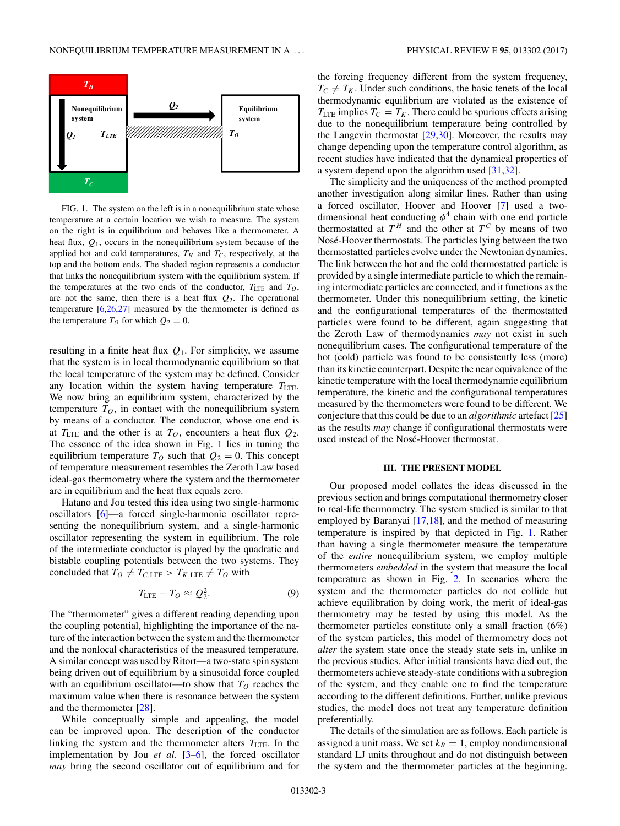

FIG. 1. The system on the left is in a nonequilibrium state whose temperature at a certain location we wish to measure. The system on the right is in equilibrium and behaves like a thermometer. A heat flux, *Q*1, occurs in the nonequilibrium system because of the applied hot and cold temperatures,  $T_H$  and  $T_C$ , respectively, at the top and the bottom ends. The shaded region represents a conductor that links the nonequilibrium system with the equilibrium system. If the temperatures at the two ends of the conductor,  $T_{\text{LTE}}$  and  $T_O$ , are not the same, then there is a heat flux  $Q_2$ . The operational temperature  $[6,26,27]$  measured by the thermometer is defined as the temperature  $T_O$  for which  $Q_2 = 0$ .

resulting in a finite heat flux *Q*1. For simplicity, we assume that the system is in local thermodynamic equilibrium so that the local temperature of the system may be defined. Consider any location within the system having temperature  $T_{\text{LTE}}$ . We now bring an equilibrium system, characterized by the temperature  $T<sub>O</sub>$ , in contact with the nonequilibrium system by means of a conductor. The conductor, whose one end is at  $T_{\text{LTE}}$  and the other is at  $T_O$ , encounters a heat flux  $Q_2$ . The essence of the idea shown in Fig. 1 lies in tuning the equilibrium temperature  $T<sub>O</sub>$  such that  $Q<sub>2</sub> = 0$ . This concept of temperature measurement resembles the Zeroth Law based ideal-gas thermometry where the system and the thermometer are in equilibrium and the heat flux equals zero.

Hatano and Jou tested this idea using two single-harmonic oscillators [6]—a forced single-harmonic oscillator representing the nonequilibrium system, and a single-harmonic oscillator representing the system in equilibrium. The role of the intermediate conductor is played by the quadratic and bistable coupling potentials between the two systems. They concluded that  $T_O \neq T_{C,\text{LTE}} > T_{K,\text{LTE}} \neq T_O$  with

$$
T_{\text{LTE}} - T_O \approx Q_2^2. \tag{9}
$$

The "thermometer" gives a different reading depending upon the coupling potential, highlighting the importance of the nature of the interaction between the system and the thermometer and the nonlocal characteristics of the measured temperature. A similar concept was used by Ritort—a two-state spin system being driven out of equilibrium by a sinusoidal force coupled with an equilibrium oscillator—to show that  $T<sub>O</sub>$  reaches the maximum value when there is resonance between the system and the thermometer [28].

While conceptually simple and appealing, the model can be improved upon. The description of the conductor linking the system and the thermometer alters  $T_{\text{LTE}}$ . In the implementation by Jou *et al.* [3–6], the forced oscillator *may* bring the second oscillator out of equilibrium and for

the forcing frequency different from the system frequency,  $T_C \neq T_K$ . Under such conditions, the basic tenets of the local thermodynamic equilibrium are violated as the existence of  $T_{\text{LTE}}$  implies  $T_C = T_K$ . There could be spurious effects arising due to the nonequilibrium temperature being controlled by the Langevin thermostat [29,30]. Moreover, the results may change depending upon the temperature control algorithm, as recent studies have indicated that the dynamical properties of a system depend upon the algorithm used [31,32].

The simplicity and the uniqueness of the method prompted another investigation along similar lines. Rather than using a forced oscillator, Hoover and Hoover [7] used a twodimensional heat conducting  $\phi^4$  chain with one end particle thermostatted at  $T^H$  and the other at  $T^C$  by means of two Nosé-Hoover thermostats. The particles lying between the two thermostatted particles evolve under the Newtonian dynamics. The link between the hot and the cold thermostatted particle is provided by a single intermediate particle to which the remaining intermediate particles are connected, and it functions as the thermometer. Under this nonequilibrium setting, the kinetic and the configurational temperatures of the thermostatted particles were found to be different, again suggesting that the Zeroth Law of thermodynamics *may* not exist in such nonequilibrium cases. The configurational temperature of the hot (cold) particle was found to be consistently less (more) than its kinetic counterpart. Despite the near equivalence of the kinetic temperature with the local thermodynamic equilibrium temperature, the kinetic and the configurational temperatures measured by the thermometers were found to be different. We conjecture that this could be due to an *algorithmic* artefact [25] as the results *may* change if configurational thermostats were used instead of the Nosé-Hoover thermostat.

#### **III. THE PRESENT MODEL**

Our proposed model collates the ideas discussed in the previous section and brings computational thermometry closer to real-life thermometry. The system studied is similar to that employed by Baranyai [17,18], and the method of measuring temperature is inspired by that depicted in Fig. 1. Rather than having a single thermometer measure the temperature of the *entire* nonequilibrium system, we employ multiple thermometers *embedded* in the system that measure the local temperature as shown in Fig. 2. In scenarios where the system and the thermometer particles do not collide but achieve equilibration by doing work, the merit of ideal-gas thermometry may be tested by using this model. As the thermometer particles constitute only a small fraction (6%) of the system particles, this model of thermometry does not *alter* the system state once the steady state sets in, unlike in the previous studies. After initial transients have died out, the thermometers achieve steady-state conditions with a subregion of the system, and they enable one to find the temperature according to the different definitions. Further, unlike previous studies, the model does not treat any temperature definition preferentially.

The details of the simulation are as follows. Each particle is assigned a unit mass. We set  $k_B = 1$ , employ nondimensional standard LJ units throughout and do not distinguish between the system and the thermometer particles at the beginning.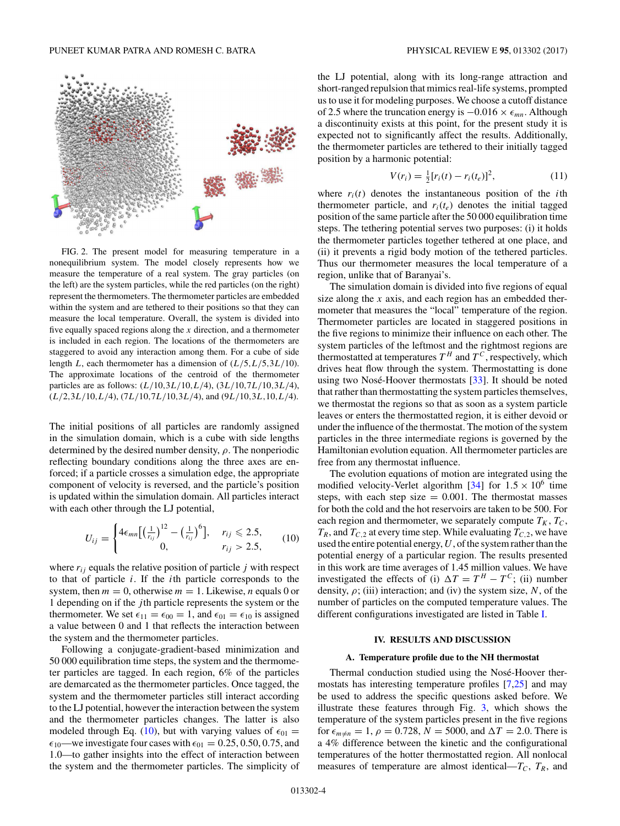

FIG. 2. The present model for measuring temperature in a nonequilibrium system. The model closely represents how we measure the temperature of a real system. The gray particles (on the left) are the system particles, while the red particles (on the right) represent the thermometers. The thermometer particles are embedded within the system and are tethered to their positions so that they can measure the local temperature. Overall, the system is divided into five equally spaced regions along the *x* direction, and a thermometer is included in each region. The locations of the thermometers are staggered to avoid any interaction among them. For a cube of side length *L*, each thermometer has a dimension of (*L/*5*,L/*5*,*3*L/*10). The approximate locations of the centroid of the thermometer particles are as follows: (*L/*10*,*3*L/*10*,L/*4), (3*L/*10*,*7*L/*10*,*3*L/*4), (*L/*2*,*3*L/*10*,L/*4), (7*L/*10*,*7*L/*10*,*3*L/*4), and (9*L/*10*,*3*L,*10*,L/*4).

The initial positions of all particles are randomly assigned in the simulation domain, which is a cube with side lengths determined by the desired number density, *ρ*. The nonperiodic reflecting boundary conditions along the three axes are enforced; if a particle crosses a simulation edge, the appropriate component of velocity is reversed, and the particle's position is updated within the simulation domain. All particles interact with each other through the LJ potential,

$$
U_{ij} = \begin{cases} 4\epsilon_{mn} \big[ \big(\frac{1}{r_{ij}}\big)^{12} - \big(\frac{1}{r_{ij}}\big)^6 \big], & r_{ij} \leq 2.5, \\ 0, & r_{ij} > 2.5, \end{cases}
$$
 (10)

where  $r_{ij}$  equals the relative position of particle  $j$  with respect to that of particle *i*. If the *i*th particle corresponds to the system, then  $m = 0$ , otherwise  $m = 1$ . Likewise, *n* equals 0 or 1 depending on if the *j* th particle represents the system or the thermometer. We set  $\epsilon_{11} = \epsilon_{00} = 1$ , and  $\epsilon_{01} = \epsilon_{10}$  is assigned a value between 0 and 1 that reflects the interaction between the system and the thermometer particles.

Following a conjugate-gradient-based minimization and 50 000 equilibration time steps, the system and the thermometer particles are tagged. In each region, 6% of the particles are demarcated as the thermometer particles. Once tagged, the system and the thermometer particles still interact according to the LJ potential, however the interaction between the system and the thermometer particles changes. The latter is also modeled through Eq. (10), but with varying values of  $\epsilon_{01} =$  $\epsilon_{10}$ —we investigate four cases with  $\epsilon_{01} = 0.25, 0.50, 0.75,$  and 1.0—to gather insights into the effect of interaction between the system and the thermometer particles. The simplicity of the LJ potential, along with its long-range attraction and short-ranged repulsion that mimics real-life systems, prompted us to use it for modeling purposes. We choose a cutoff distance of 2.5 where the truncation energy is −0*.*016 × *mn*. Although a discontinuity exists at this point, for the present study it is expected not to significantly affect the results. Additionally, the thermometer particles are tethered to their initially tagged position by a harmonic potential:

$$
V(r_i) = \frac{1}{2} [r_i(t) - r_i(t_e)]^2,
$$
\n(11)

where  $r_i(t)$  denotes the instantaneous position of the *i*th thermometer particle, and  $r_i(t_e)$  denotes the initial tagged position of the same particle after the 50 000 equilibration time steps. The tethering potential serves two purposes: (i) it holds the thermometer particles together tethered at one place, and (ii) it prevents a rigid body motion of the tethered particles. Thus our thermometer measures the local temperature of a region, unlike that of Baranyai's.

The simulation domain is divided into five regions of equal size along the *x* axis, and each region has an embedded thermometer that measures the "local" temperature of the region. Thermometer particles are located in staggered positions in the five regions to minimize their influence on each other. The system particles of the leftmost and the rightmost regions are thermostatted at temperatures  $T^H$  and  $T^C$ , respectively, which drives heat flow through the system. Thermostatting is done using two Nosé-Hoover thermostats  $[33]$ . It should be noted that rather than thermostatting the system particles themselves, we thermostat the regions so that as soon as a system particle leaves or enters the thermostatted region, it is either devoid or under the influence of the thermostat. The motion of the system particles in the three intermediate regions is governed by the Hamiltonian evolution equation. All thermometer particles are free from any thermostat influence.

The evolution equations of motion are integrated using the modified velocity-Verlet algorithm  $[34]$  for  $1.5 \times 10^6$  time steps, with each step size  $= 0.001$ . The thermostat masses for both the cold and the hot reservoirs are taken to be 500. For each region and thermometer, we separately compute  $T_K$ ,  $T_C$ ,  $T_R$ , and  $T_{C,2}$  at every time step. While evaluating  $T_{C,2}$ , we have used the entire potential energy, *U*, of the system rather than the potential energy of a particular region. The results presented in this work are time averages of 1.45 million values. We have investigated the effects of (i)  $\Delta T = T^H - T^C$ ; (ii) number density,  $\rho$ ; (iii) interaction; and (iv) the system size, *N*, of the number of particles on the computed temperature values. The different configurations investigated are listed in Table I.

### **IV. RESULTS AND DISCUSSION**

#### **A. Temperature profile due to the NH thermostat**

Thermal conduction studied using the Nosé-Hoover thermostats has interesting temperature profiles [7,25] and may be used to address the specific questions asked before. We illustrate these features through Fig. 3, which shows the temperature of the system particles present in the five regions for  $\epsilon_{m \neq n} = 1$ ,  $\rho = 0.728$ ,  $N = 5000$ , and  $\Delta T = 2.0$ . There is a 4% difference between the kinetic and the configurational temperatures of the hotter thermostatted region. All nonlocal measures of temperature are almost identical— $T_c$ ,  $T_R$ , and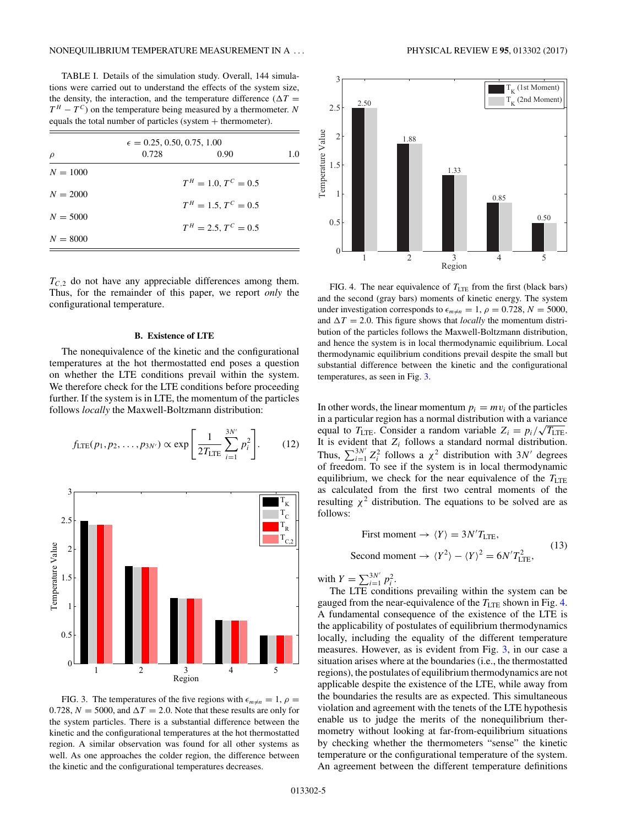TABLE I. Details of the simulation study. Overall, 144 simulations were carried out to understand the effects of the system size, the density, the interaction, and the temperature difference ( $\Delta T =$  $T^H - T^C$ ) on the temperature being measured by a thermometer. *N* equals the total number of particles (system  $+$  thermometer).

| $\epsilon = 0.25, 0.50, 0.75, 1.00$ |       |                        |     |
|-------------------------------------|-------|------------------------|-----|
| $\rho$                              | 0.728 | 0.90                   | 1.0 |
| $N = 1000$                          |       |                        |     |
|                                     |       | $T^H = 1.0, T^C = 0.5$ |     |
| $N = 2000$                          |       |                        |     |
| $N = 5000$                          |       | $T^H = 1.5, T^C = 0.5$ |     |
|                                     |       | $T^H = 2.5, T^C = 0.5$ |     |
| $N = 8000$                          |       |                        |     |

 $T_{C,2}$  do not have any appreciable differences among them. Thus, for the remainder of this paper, we report *only* the configurational temperature.

### **B. Existence of LTE**

The nonequivalence of the kinetic and the configurational temperatures at the hot thermostatted end poses a question on whether the LTE conditions prevail within the system. We therefore check for the LTE conditions before proceeding further. If the system is in LTE, the momentum of the particles follows *locally* the Maxwell-Boltzmann distribution:

$$
f_{\text{LTE}}(p_1, p_2, \dots, p_{3N'}) \propto \exp \left[ \frac{1}{2T_{\text{LTE}}} \sum_{i=1}^{3N'} p_i^2 \right].
$$
 (12)



FIG. 3. The temperatures of the five regions with  $\epsilon_{m\neq n} = 1$ ,  $\rho =$ 0.728,  $N = 5000$ , and  $\Delta T = 2.0$ . Note that these results are only for the system particles. There is a substantial difference between the kinetic and the configurational temperatures at the hot thermostatted region. A similar observation was found for all other systems as well. As one approaches the colder region, the difference between the kinetic and the configurational temperatures decreases.



FIG. 4. The near equivalence of  $T_{\text{LTE}}$  from the first (black bars) and the second (gray bars) moments of kinetic energy. The system under investigation corresponds to  $\epsilon_{m \neq n} = 1$ ,  $\rho = 0.728$ ,  $N = 5000$ , and  $\Delta T = 2.0$ . This figure shows that *locally* the momentum distribution of the particles follows the Maxwell-Boltzmann distribution, and hence the system is in local thermodynamic equilibrium. Local thermodynamic equilibrium conditions prevail despite the small but substantial difference between the kinetic and the configurational temperatures, as seen in Fig. 3.

In other words, the linear momentum  $p_i = mv_i$  of the particles in a particular region has a normal distribution with a variance equal to  $T_{\text{LTE}}$ . Consider a random variable  $Z_i = p_i / \sqrt{T_{\text{LTE}}}$ . It is evident that *Zi* follows a standard normal distribution. Thus,  $\sum_{i=1}^{3N'} Z_i^2$  follows a  $\chi^2$  distribution with 3*N'* degrees of freedom. To see if the system is in local thermodynamic equilibrium, we check for the near equivalence of the  $T_{\text{LTE}}$ as calculated from the first two central moments of the resulting  $\chi^2$  distribution. The equations to be solved are as follows:

First moment 
$$
\rightarrow \langle Y \rangle = 3N'T_{\text{LTE}}
$$
,  
Second moment  $\rightarrow \langle Y^2 \rangle - \langle Y \rangle^2 = 6N'T_{\text{LTE}}^2$ , (13)

with  $Y = \sum_{i=1}^{3N'} p_i^2$ .

The LTE conditions prevailing within the system can be gauged from the near-equivalence of the  $T_{\text{LTE}}$  shown in Fig. 4. A fundamental consequence of the existence of the LTE is the applicability of postulates of equilibrium thermodynamics locally, including the equality of the different temperature measures. However, as is evident from Fig. 3, in our case a situation arises where at the boundaries (i.e., the thermostatted regions), the postulates of equilibrium thermodynamics are not applicable despite the existence of the LTE, while away from the boundaries the results are as expected. This simultaneous violation and agreement with the tenets of the LTE hypothesis enable us to judge the merits of the nonequilibrium thermometry without looking at far-from-equilibrium situations by checking whether the thermometers "sense" the kinetic temperature or the configurational temperature of the system. An agreement between the different temperature definitions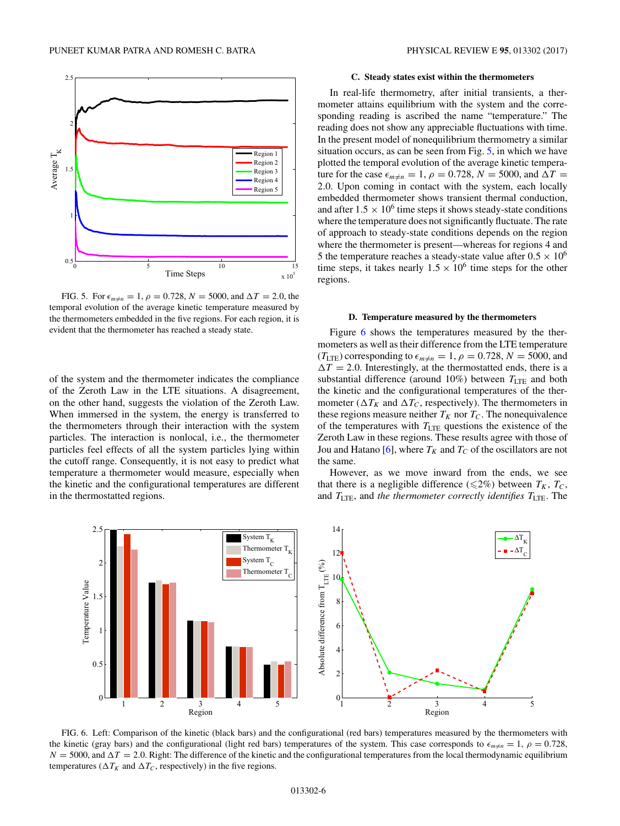

FIG. 5. For  $\epsilon_{m \neq n} = 1$ ,  $\rho = 0.728$ ,  $N = 5000$ , and  $\Delta T = 2.0$ , the temporal evolution of the average kinetic temperature measured by the thermometers embedded in the five regions. For each region, it is evident that the thermometer has reached a steady state.

of the system and the thermometer indicates the compliance of the Zeroth Law in the LTE situations. A disagreement, on the other hand, suggests the violation of the Zeroth Law. When immersed in the system, the energy is transferred to the thermometers through their interaction with the system particles. The interaction is nonlocal, i.e., the thermometer particles feel effects of all the system particles lying within the cutoff range. Consequently, it is not easy to predict what temperature a thermometer would measure, especially when the kinetic and the configurational temperatures are different in the thermostatted regions.

## **C. Steady states exist within the thermometers**

In real-life thermometry, after initial transients, a thermometer attains equilibrium with the system and the corresponding reading is ascribed the name "temperature." The reading does not show any appreciable fluctuations with time. In the present model of nonequilibrium thermometry a similar situation occurs, as can be seen from Fig. 5, in which we have plotted the temporal evolution of the average kinetic temperature for the case  $\epsilon_{m\neq n} = 1$ ,  $\rho = 0.728$ ,  $N = 5000$ , and  $\Delta T =$ 2*.*0. Upon coming in contact with the system, each locally embedded thermometer shows transient thermal conduction, and after  $1.5 \times 10^6$  time steps it shows steady-state conditions where the temperature does not significantly fluctuate. The rate of approach to steady-state conditions depends on the region where the thermometer is present—whereas for regions 4 and 5 the temperature reaches a steady-state value after  $0.5 \times 10^6$ time steps, it takes nearly  $1.5 \times 10^6$  time steps for the other regions.

#### **D. Temperature measured by the thermometers**

Figure 6 shows the temperatures measured by the thermometers as well as their difference from the LTE temperature  $(T_{\text{LTE}})$  corresponding to  $\epsilon_{m \neq n} = 1$ ,  $\rho = 0.728$ ,  $N = 5000$ , and  $\Delta T = 2.0$ . Interestingly, at the thermostatted ends, there is a substantial difference (around  $10\%$ ) between  $T_{\text{LTE}}$  and both the kinetic and the configurational temperatures of the thermometer ( $\Delta T_K$  and  $\Delta T_C$ , respectively). The thermometers in these regions measure neither  $T_K$  nor  $T_C$ . The nonequivalence of the temperatures with *T*LTE questions the existence of the Zeroth Law in these regions. These results agree with those of Jou and Hatano  $[6]$ , where  $T_K$  and  $T_C$  of the oscillators are not the same.

However, as we move inward from the ends, we see that there is a negligible difference ( $\leq 2\%$ ) between  $T_K$ ,  $T_C$ , and *T*LTE, and *the thermometer correctly identifies T*LTE. The



FIG. 6. Left: Comparison of the kinetic (black bars) and the configurational (red bars) temperatures measured by the thermometers with the kinetic (gray bars) and the configurational (light red bars) temperatures of the system. This case corresponds to  $\epsilon_{m\neq n} = 1$ ,  $\rho = 0.728$ ,  $N = 5000$ , and  $\Delta T = 2.0$ . Right: The difference of the kinetic and the configurational temperatures from the local thermodynamic equilibrium temperatures ( $\Delta T_K$  and  $\Delta T_C$ , respectively) in the five regions.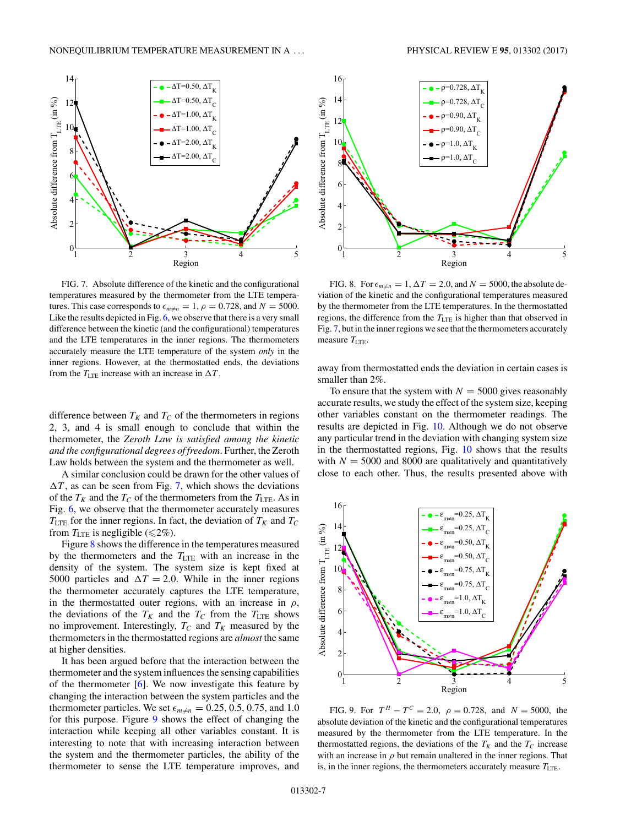

FIG. 7. Absolute difference of the kinetic and the configurational temperatures measured by the thermometer from the LTE temperatures. This case corresponds to  $\epsilon_{m \neq n} = 1$ ,  $\rho = 0.728$ , and  $N = 5000$ . Like the results depicted in Fig. 6, we observe that there is a very small difference between the kinetic (and the configurational) temperatures and the LTE temperatures in the inner regions. The thermometers accurately measure the LTE temperature of the system *only* in the inner regions. However, at the thermostatted ends, the deviations from the  $T_{\text{LTE}}$  increase with an increase in  $\Delta T$ .

difference between  $T_K$  and  $T_C$  of the thermometers in regions 2, 3, and 4 is small enough to conclude that within the thermometer, the *Zeroth Law is satisfied among the kinetic and the configurational degrees of freedom*. Further, the Zeroth Law holds between the system and the thermometer as well.

A similar conclusion could be drawn for the other values of  $\Delta T$ , as can be seen from Fig. 7, which shows the deviations of the  $T_K$  and the  $T_C$  of the thermometers from the  $T_{\text{LTE}}$ . As in Fig. 6, we observe that the thermometer accurately measures  $T_{\text{LTE}}$  for the inner regions. In fact, the deviation of  $T_K$  and  $T_C$ from  $T_{\text{LTE}}$  is negligible ( $\leq 2\%$ ).

Figure 8 shows the difference in the temperatures measured by the thermometers and the  $T_{\text{LTE}}$  with an increase in the density of the system. The system size is kept fixed at 5000 particles and  $\Delta T = 2.0$ . While in the inner regions the thermometer accurately captures the LTE temperature, in the thermostatted outer regions, with an increase in  $\rho$ , the deviations of the  $T_K$  and the  $T_C$  from the  $T_{\text{LTE}}$  shows no improvement. Interestingly,  $T_C$  and  $T_K$  measured by the thermometers in the thermostatted regions are *almost* the same at higher densities.

It has been argued before that the interaction between the thermometer and the system influences the sensing capabilities of the thermometer  $[6]$ . We now investigate this feature by changing the interaction between the system particles and the thermometer particles. We set  $\epsilon_{m\neq n} = 0.25, 0.5, 0.75,$  and 1.0 for this purpose. Figure 9 shows the effect of changing the interaction while keeping all other variables constant. It is interesting to note that with increasing interaction between the system and the thermometer particles, the ability of the thermometer to sense the LTE temperature improves, and



FIG. 8. For  $\epsilon_{m \neq n} = 1$ ,  $\Delta T = 2.0$ , and  $N = 5000$ , the absolute deviation of the kinetic and the configurational temperatures measured by the thermometer from the LTE temperatures. In the thermostatted regions, the difference from the  $T_{\text{LTE}}$  is higher than that observed in Fig. 7, but in the inner regions we see that the thermometers accurately measure  $T_{\text{LTE}}$ .

away from thermostatted ends the deviation in certain cases is smaller than 2%.

To ensure that the system with  $N = 5000$  gives reasonably accurate results, we study the effect of the system size, keeping other variables constant on the thermometer readings. The results are depicted in Fig. 10. Although we do not observe any particular trend in the deviation with changing system size in the thermostatted regions, Fig. 10 shows that the results with  $N = 5000$  and 8000 are qualitatively and quantitatively close to each other. Thus, the results presented above with



FIG. 9. For  $T^H - T^C = 2.0$ ,  $\rho = 0.728$ , and  $N = 5000$ , the absolute deviation of the kinetic and the configurational temperatures measured by the thermometer from the LTE temperature. In the thermostatted regions, the deviations of the  $T_K$  and the  $T_C$  increase with an increase in  $\rho$  but remain unaltered in the inner regions. That is, in the inner regions, the thermometers accurately measure  $T_{\text{LTE}}$ .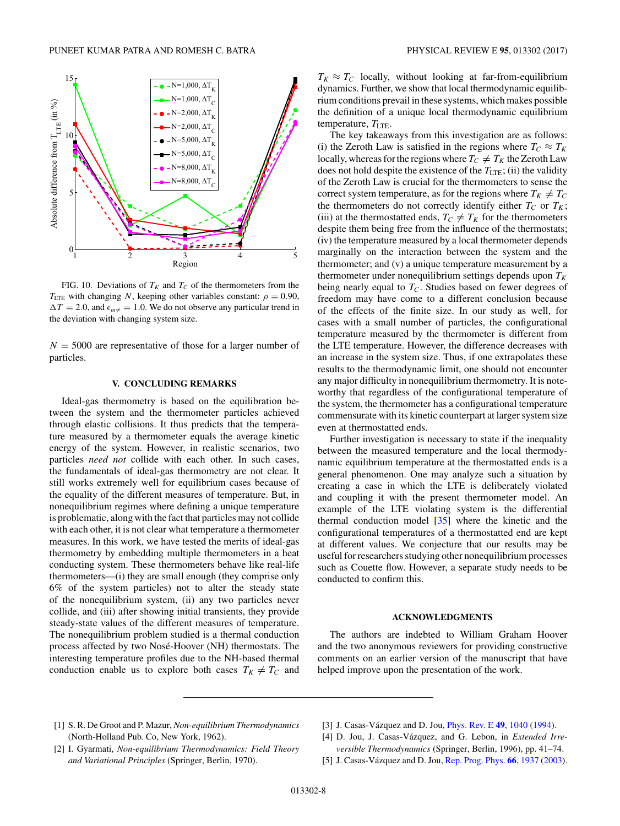

FIG. 10. Deviations of  $T_K$  and  $T_C$  of the thermometers from the *T*<sub>LTE</sub> with changing *N*, keeping other variables constant:  $\rho = 0.90$ ,  $\Delta T = 2.0$ , and  $\epsilon_{m\neq} = 1.0$ . We do not observe any particular trend in the deviation with changing system size.

 $N = 5000$  are representative of those for a larger number of particles.

## **V. CONCLUDING REMARKS**

Ideal-gas thermometry is based on the equilibration between the system and the thermometer particles achieved through elastic collisions. It thus predicts that the temperature measured by a thermometer equals the average kinetic energy of the system. However, in realistic scenarios, two particles *need not* collide with each other. In such cases, the fundamentals of ideal-gas thermometry are not clear. It still works extremely well for equilibrium cases because of the equality of the different measures of temperature. But, in nonequilibrium regimes where defining a unique temperature is problematic, along with the fact that particles may not collide with each other, it is not clear what temperature a thermometer measures. In this work, we have tested the merits of ideal-gas thermometry by embedding multiple thermometers in a heat conducting system. These thermometers behave like real-life thermometers—(i) they are small enough (they comprise only 6% of the system particles) not to alter the steady state of the nonequilibrium system, (ii) any two particles never collide, and (iii) after showing initial transients, they provide steady-state values of the different measures of temperature. The nonequilibrium problem studied is a thermal conduction process affected by two Nosé-Hoover (NH) thermostats. The interesting temperature profiles due to the NH-based thermal conduction enable us to explore both cases  $T_K \neq T_C$  and

 $T_K \approx T_C$  locally, without looking at far-from-equilibrium dynamics. Further, we show that local thermodynamic equilibrium conditions prevail in these systems, which makes possible the definition of a unique local thermodynamic equilibrium temperature,  $T_{\text{LTE}}$ .

The key takeaways from this investigation are as follows: (i) the Zeroth Law is satisfied in the regions where  $T_C \approx T_K$ locally, whereas for the regions where  $T_C \neq T_K$  the Zeroth Law does not hold despite the existence of the  $T_{\text{LTE}}$ ; (ii) the validity of the Zeroth Law is crucial for the thermometers to sense the correct system temperature, as for the regions where  $T_K \neq T_C$ the thermometers do not correctly identify either  $T_C$  or  $T_K$ ; (iii) at the thermostatted ends,  $T_C \neq T_K$  for the thermometers despite them being free from the influence of the thermostats; (iv) the temperature measured by a local thermometer depends marginally on the interaction between the system and the thermometer; and (v) a unique temperature measurement by a thermometer under nonequilibrium settings depends upon  $T_K$ being nearly equal to  $T_C$ . Studies based on fewer degrees of freedom may have come to a different conclusion because of the effects of the finite size. In our study as well, for cases with a small number of particles, the configurational temperature measured by the thermometer is different from the LTE temperature. However, the difference decreases with an increase in the system size. Thus, if one extrapolates these results to the thermodynamic limit, one should not encounter any major difficulty in nonequilibrium thermometry. It is noteworthy that regardless of the configurational temperature of the system, the thermometer has a configurational temperature commensurate with its kinetic counterpart at larger system size even at thermostatted ends.

Further investigation is necessary to state if the inequality between the measured temperature and the local thermodynamic equilibrium temperature at the thermostatted ends is a general phenomenon. One may analyze such a situation by creating a case in which the LTE is deliberately violated and coupling it with the present thermometer model. An example of the LTE violating system is the differential thermal conduction model [35] where the kinetic and the configurational temperatures of a thermostatted end are kept at different values. We conjecture that our results may be useful for researchers studying other nonequilibrium processes such as Couette flow. However, a separate study needs to be conducted to confirm this.

#### **ACKNOWLEDGMENTS**

The authors are indebted to William Graham Hoover and the two anonymous reviewers for providing constructive comments on an earlier version of the manuscript that have helped improve upon the presentation of the work.

- [1] S. R. De Groot and P. Mazur, *Non-equilibrium Thermodynamics* (North-Holland Pub. Co, New York, 1962).
- [2] I. Gyarmati, *Non-equilibrium Thermodynamics: Field Theory and Variational Principles* (Springer, Berlin, 1970).
- [3] J. Casas-Vázquez and D. Jou, *Phys. Rev. E* 49, 1040 (1994).
- [4] D. Jou, J. Casas-Vázquez, and G. Lebon, in *Extended Irreversible Thermodynamics* (Springer, Berlin, 1996), pp. 41–74.
- [5] J. Casas-Vázquez and D. Jou, Rep. Prog. Phys. **66**, 1937 (2003).